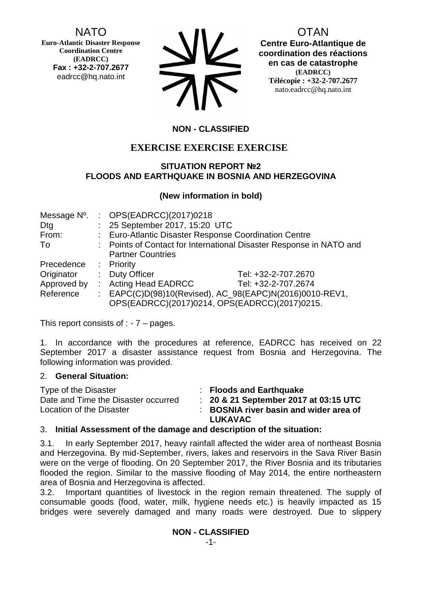NATO

**Euro-Atlantic Disaster Response Coordination Centre (EADRCC) Fax : +32-2-707.2677** eadrcc@hq.nato.int

| <b>NV</b>  |
|------------|
| <b>712</b> |

OTAN

**Centre Euro-Atlantique de coordination des réactions en cas de catastrophe (EADRCC) Télécopie : +32-2-707.2677** nato.eadrcc@hq.nato.int

# **NON - CLASSIFIED**

# **EXERCISE EXERCISE EXERCISE**

#### **SITUATION REPORT №2 FLOODS AND EARTHQUAKE IN BOSNIA AND HERZEGOVINA**

## **(New information in bold)**

| Message N°. |    | : OPS(EADRCC)(2017)0218                               |                                                                     |
|-------------|----|-------------------------------------------------------|---------------------------------------------------------------------|
| Dtg         |    | : 25 September 2017, 15:20 UTC                        |                                                                     |
| From:       |    | : Euro-Atlantic Disaster Response Coordination Centre |                                                                     |
| To          |    |                                                       | : Points of Contact for International Disaster Response in NATO and |
|             |    | <b>Partner Countries</b>                              |                                                                     |
| Precedence  |    | : Priority                                            |                                                                     |
| Originator  |    | : Duty Officer                                        | Tel: +32-2-707.2670                                                 |
| Approved by | ÷. | <b>Acting Head EADRCC</b>                             | Tel: +32-2-707.2674                                                 |
| Reference   |    |                                                       | : EAPC(C)D(98)10(Revised), AC_98(EAPC)N(2016)0010-REV1,             |
|             |    |                                                       | OPS(EADRCC)(2017)0214, OPS(EADRCC)(2017)0215.                       |

This report consists of  $: -7 -$  pages.

1. In accordance with the procedures at reference, EADRCC has received on 22 September 2017 a disaster assistance request from Bosnia and Herzegovina. The following information was provided.

#### 2. **General Situation:**

| Type of the Disaster                | : Floods and Earthquake                   |
|-------------------------------------|-------------------------------------------|
| Date and Time the Disaster occurred | $\pm$ 20 & 21 September 2017 at 03:15 UTC |
| Location of the Disaster            | : BOSNIA river basin and wider area of    |
|                                     | LUKAVAC                                   |

#### 3. **Initial Assessment of the damage and description of the situation:**

3.1. In early September 2017, heavy rainfall affected the wider area of northeast Bosnia and Herzegovina. By mid-September, rivers, lakes and reservoirs in the Sava River Basin were on the verge of flooding. On 20 September 2017, the River Bosnia and its tributaries flooded the region. Similar to the massive flooding of May 2014, the entire northeastern area of Bosnia and Herzegovina is affected.

3.2. Important quantities of livestock in the region remain threatened. The supply of consumable goods (food, water, milk, hygiene needs etc.) is heavily impacted as 15 bridges were severely damaged and many roads were destroyed. Due to slippery

#### **NON - CLASSIFIED**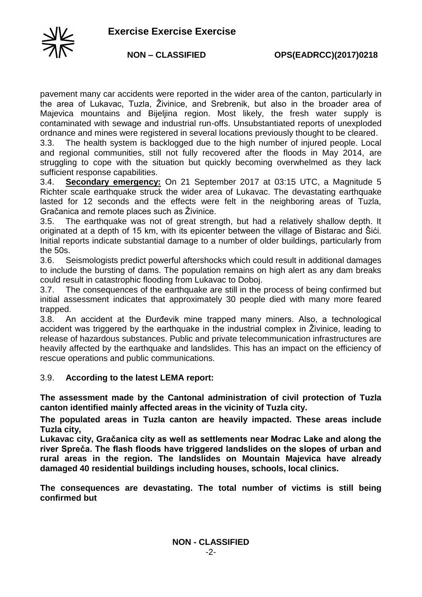

pavement many car accidents were reported in the wider area of the canton, particularly in the area of Lukavac, Tuzla, Živinice, and Srebrenik, but also in the broader area of Majevica mountains and Bijeljina region. Most likely, the fresh water supply is contaminated with sewage and industrial run-offs. Unsubstantiated reports of unexploded ordnance and mines were registered in several locations previously thought to be cleared.

3.3. The health system is backlogged due to the high number of injured people. Local and regional communities, still not fully recovered after the floods in May 2014, are struggling to cope with the situation but quickly becoming overwhelmed as they lack sufficient response capabilities.

3.4. **Secondary emergency:** On 21 September 2017 at 03:15 UTC, a Magnitude 5 Richter scale earthquake struck the wider area of Lukavac. The devastating earthquake lasted for 12 seconds and the effects were felt in the neighboring areas of Tuzla, Gračanica and remote places such as Živinice.

3.5. The earthquake was not of great strength, but had a relatively shallow depth. It originated at a depth of 15 km, with its epicenter between the village of Bistarac and Šići. Initial reports indicate substantial damage to a number of older buildings, particularly from the 50s.

3.6. Seismologists predict powerful aftershocks which could result in additional damages to include the bursting of dams. The population remains on high alert as any dam breaks could result in catastrophic flooding from Lukavac to Doboj.

3.7. The consequences of the earthquake are still in the process of being confirmed but initial assessment indicates that approximately 30 people died with many more feared trapped.

3.8. An accident at the Đurđevik mine trapped many miners. Also, a technological accident was triggered by the earthquake in the industrial complex in Živinice, leading to release of hazardous substances. Public and private telecommunication infrastructures are heavily affected by the earthquake and landslides. This has an impact on the efficiency of rescue operations and public communications.

#### 3.9. **According to the latest LEMA report:**

**The assessment made by the Cantonal administration of civil protection of Tuzla canton identified mainly affected areas in the vicinity of Tuzla city.** 

**The populated areas in Tuzla canton are heavily impacted. These areas include Tuzla city,**

**Lukavac city, Gračanica city as well as settlements near Modrac Lake and along the river Spreča. The flash floods have triggered landslides on the slopes of urban and rural areas in the region. The landslides on Mountain Majevica have already damaged 40 residential buildings including houses, schools, local clinics.**

**The consequences are devastating. The total number of victims is still being confirmed but**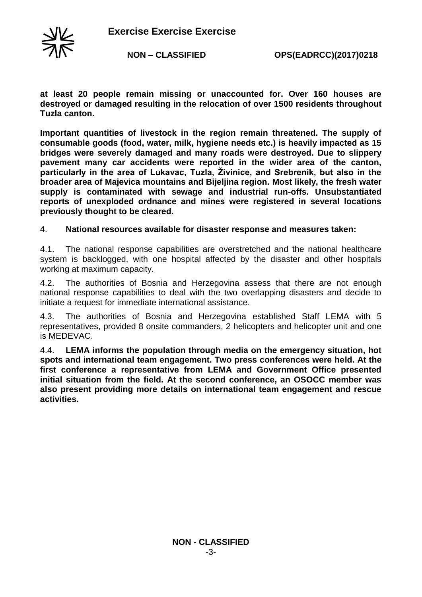

**NON – CLASSIFIED OPS(EADRCC)(2017)0218**

**at least 20 people remain missing or unaccounted for. Over 160 houses are destroyed or damaged resulting in the relocation of over 1500 residents throughout Tuzla canton.** 

**Important quantities of livestock in the region remain threatened. The supply of consumable goods (food, water, milk, hygiene needs etc.) is heavily impacted as 15 bridges were severely damaged and many roads were destroyed. Due to slippery pavement many car accidents were reported in the wider area of the canton, particularly in the area of Lukavac, Tuzla, Živinice, and Srebrenik, but also in the broader area of Majevica mountains and Bijeljina region. Most likely, the fresh water supply is contaminated with sewage and industrial run-offs. Unsubstantiated reports of unexploded ordnance and mines were registered in several locations previously thought to be cleared.**

#### 4. **National resources available for disaster response and measures taken:**

4.1. The national response capabilities are overstretched and the national healthcare system is backlogged, with one hospital affected by the disaster and other hospitals working at maximum capacity.

4.2. The authorities of Bosnia and Herzegovina assess that there are not enough national response capabilities to deal with the two overlapping disasters and decide to initiate a request for immediate international assistance.

4.3. The authorities of Bosnia and Herzegovina established Staff LEMA with 5 representatives, provided 8 onsite commanders, 2 helicopters and helicopter unit and one is MEDEVAC.

4.4. **LEMA informs the population through media on the emergency situation, hot spots and international team engagement. Two press conferences were held. At the first conference a representative from LEMA and Government Office presented initial situation from the field. At the second conference, an OSOCC member was also present providing more details on international team engagement and rescue activities.**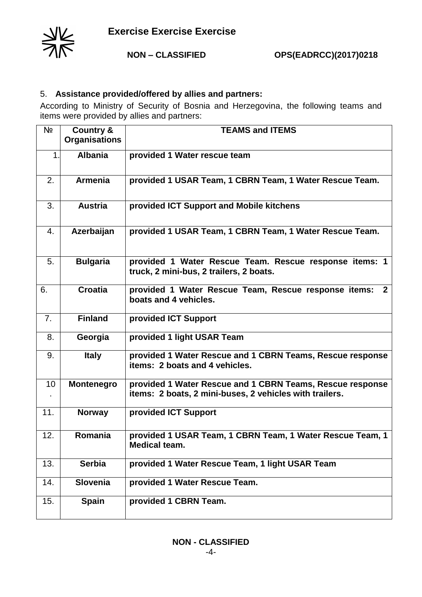

## 5. **Assistance provided/offered by allies and partners:**

According to Ministry of Security of Bosnia and Herzegovina, the following teams and items were provided by allies and partners:

| Nº  | <b>Country &amp;</b><br><b>Organisations</b> | <b>TEAMS and ITEMS</b>                                                                                               |
|-----|----------------------------------------------|----------------------------------------------------------------------------------------------------------------------|
| 1.  | <b>Albania</b>                               | provided 1 Water rescue team                                                                                         |
| 2.  | <b>Armenia</b>                               | provided 1 USAR Team, 1 CBRN Team, 1 Water Rescue Team.                                                              |
| 3.  | <b>Austria</b>                               | provided ICT Support and Mobile kitchens                                                                             |
| 4.  | Azerbaijan                                   | provided 1 USAR Team, 1 CBRN Team, 1 Water Rescue Team.                                                              |
| 5.  | <b>Bulgaria</b>                              | provided 1 Water Rescue Team. Rescue response items: 1<br>truck, 2 mini-bus, 2 trailers, 2 boats.                    |
| 6.  | <b>Croatia</b>                               | provided 1 Water Rescue Team, Rescue response items:<br>$\overline{2}$<br>boats and 4 vehicles.                      |
| 7.  | <b>Finland</b>                               | provided ICT Support                                                                                                 |
| 8.  | Georgia                                      | provided 1 light USAR Team                                                                                           |
| 9.  | <b>Italy</b>                                 | provided 1 Water Rescue and 1 CBRN Teams, Rescue response<br>items: 2 boats and 4 vehicles.                          |
| 10  | <b>Montenegro</b>                            | provided 1 Water Rescue and 1 CBRN Teams, Rescue response<br>items: 2 boats, 2 mini-buses, 2 vehicles with trailers. |
| 11. | <b>Norway</b>                                | provided ICT Support                                                                                                 |
| 12. | Romania                                      | provided 1 USAR Team, 1 CBRN Team, 1 Water Rescue Team, 1<br><b>Medical team.</b>                                    |
| 13. | <b>Serbia</b>                                | provided 1 Water Rescue Team, 1 light USAR Team                                                                      |
| 14. | Slovenia                                     | provided 1 Water Rescue Team.                                                                                        |
| 15. | <b>Spain</b>                                 | provided 1 CBRN Team.                                                                                                |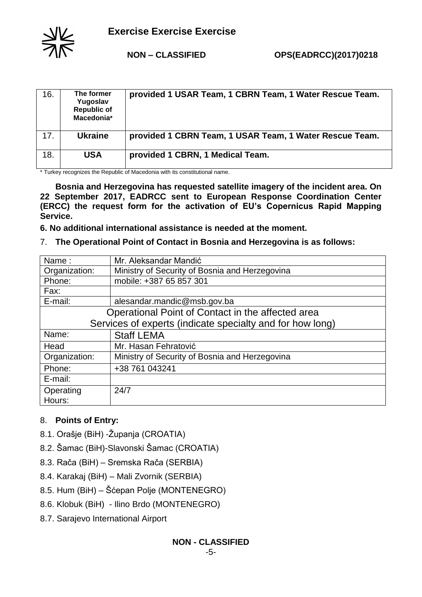

| 16. | The former<br>Yugoslav<br><b>Republic of</b><br>Macedonia* | provided 1 USAR Team, 1 CBRN Team, 1 Water Rescue Team. |
|-----|------------------------------------------------------------|---------------------------------------------------------|
| 17. | <b>Ukraine</b>                                             | provided 1 CBRN Team, 1 USAR Team, 1 Water Rescue Team. |
| 18. | <b>USA</b>                                                 | provided 1 CBRN, 1 Medical Team.                        |

 $\frac{1}{1}$  Turkey recognizes the Republic of Macedonia with its constitutional name.

**Bosnia and Herzegovina has requested satellite imagery of the incident area. On 22 September 2017, EADRCC sent to European Response Coordination Center (ERCC) the request form for the activation of EU's Copernicus Rapid Mapping Service.** 

**6. No additional international assistance is needed at the moment.**

7. **The Operational Point of Contact in Bosnia and Herzegovina is as follows:** 

| Name:                                                     | Mr. Aleksandar Mandić                          |  |
|-----------------------------------------------------------|------------------------------------------------|--|
| Organization:                                             | Ministry of Security of Bosnia and Herzegovina |  |
| Phone:                                                    | mobile: +387 65 857 301                        |  |
| Fax:                                                      |                                                |  |
| E-mail:                                                   | alesandar.mandic@msb.gov.ba                    |  |
| Operational Point of Contact in the affected area         |                                                |  |
| Services of experts (indicate specialty and for how long) |                                                |  |
| Name:                                                     | <b>Staff LEMA</b>                              |  |
| Head                                                      | Mr. Hasan Fehratović                           |  |
| Organization:                                             | Ministry of Security of Bosnia and Herzegovina |  |
| Phone:                                                    | +38 761 043241                                 |  |
| E-mail:                                                   |                                                |  |
| Operating                                                 | 24/7                                           |  |
| Hours:                                                    |                                                |  |

# 8. **Points of Entry:**

- 8.1. Orašje (BiH) -Županja (CROATIA)
- 8.2. Šamac (BiH)-Slavonski Šamac (CROATIA)
- 8.3. Rača (BiH) Sremska Rača (SERBIA)
- 8.4. Karakaj (BiH) Mali Zvornik (SERBIA)
- 8.5. Hum (BiH) Šćepan Polje (MONTENEGRO)
- 8.6. Klobuk (BiH) Ilino Brdo (MONTENEGRO)
- 8.7. Sarajevo International Airport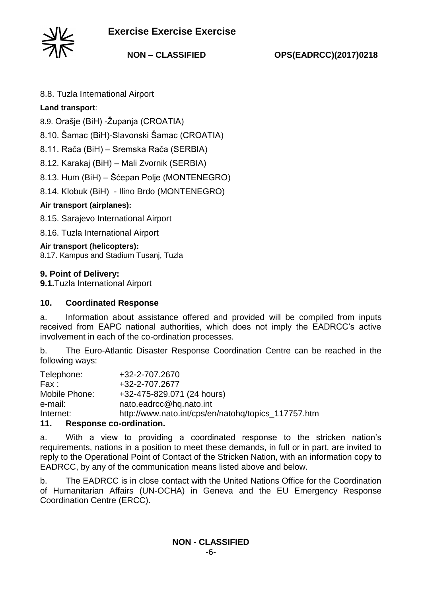

**NON – CLASSIFIED OPS(EADRCC)(2017)0218**

8.8. Tuzla International Airport

# **Land transport**:

8.9. Orašje (BiH) -Županja (CROATIA)

8.10. Šamac (BiH)-Slavonski Šamac (CROATIA)

8.11. Rača (BiH) – Sremska Rača (SERBIA)

8.12. Karakaj (BiH) – Mali Zvornik (SERBIA)

8.13. Hum (BiH) – Šćepan Polje (MONTENEGRO)

8.14. Klobuk (BiH) - Ilino Brdo (MONTENEGRO)

# **Air transport (airplanes):**

8.15. Sarajevo International Airport

8.16. Tuzla International Airport

## **Air transport (helicopters):**

8.17. Kampus and Stadium Tusanj, Tuzla

## **9. Point of Delivery:**

**9.1.**Tuzla International Airport

### **10. Coordinated Response**

a. Information about assistance offered and provided will be compiled from inputs received from EAPC national authorities, which does not imply the EADRCC's active involvement in each of the co-ordination processes.

b. The Euro-Atlantic Disaster Response Coordination Centre can be reached in the following ways:

| <i>A A</i>    | Desperance as eviliation                            |
|---------------|-----------------------------------------------------|
| Internet:     | http://www.nato.int/cps/en/natohg/topics 117757.htm |
| e-mail:       | nato.eadrcc@hq.nato.int                             |
| Mobile Phone: | +32-475-829.071 (24 hours)                          |
| Fax :         | +32-2-707.2677                                      |
| Telephone:    | +32-2-707.2670                                      |
|               |                                                     |

#### **11. Response co-ordination.**

a. With a view to providing a coordinated response to the stricken nation's requirements, nations in a position to meet these demands, in full or in part, are invited to reply to the Operational Point of Contact of the Stricken Nation, with an information copy to EADRCC, by any of the communication means listed above and below.

b. The EADRCC is in close contact with the United Nations Office for the Coordination of Humanitarian Affairs (UN-OCHA) in Geneva and the EU Emergency Response Coordination Centre (ERCC).